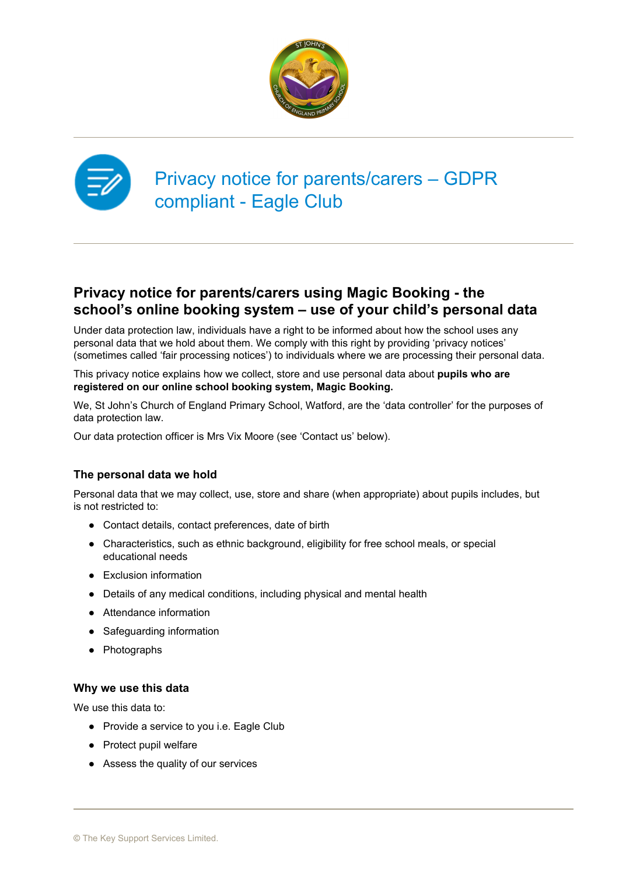



# Privacy notice for parents/carers – GDPR compliant - Eagle Club

# **Privacy notice for parents/carers using Magic Booking - the school's online booking system – use of your child's personal data**

Under data protection law, individuals have a right to be informed about how the school uses any personal data that we hold about them. We comply with this right by providing 'privacy notices' (sometimes called 'fair processing notices') to individuals where we are processing their personal data.

This privacy notice explains how we collect, store and use personal data about **pupils who are registered on our online school booking system, Magic Booking.**

We, St John's Church of England Primary School, Watford, are the 'data controller' for the purposes of data protection law.

Our data protection officer is Mrs Vix Moore (see 'Contact us' below).

# **The personal data we hold**

Personal data that we may collect, use, store and share (when appropriate) about pupils includes, but is not restricted to:

- Contact details, contact preferences, date of birth
- Characteristics, such as ethnic background, eligibility for free school meals, or special educational needs
- Exclusion information
- Details of any medical conditions, including physical and mental health
- Attendance information
- Safeguarding information
- Photographs

# **Why we use this data**

We use this data to:

- Provide a service to you i.e. Eagle Club
- Protect pupil welfare
- Assess the quality of our services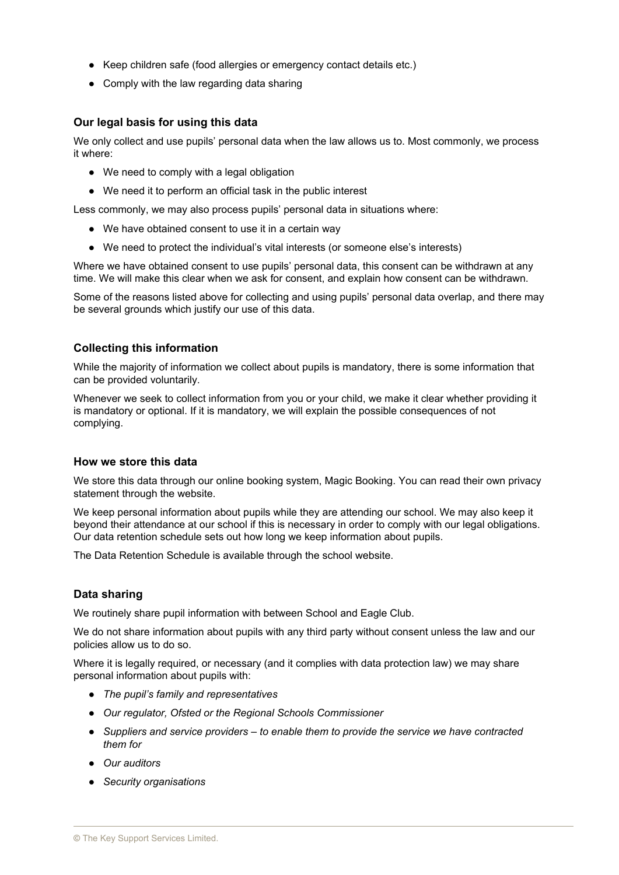- Keep children safe (food allergies or emergency contact details etc.)
- Comply with the law regarding data sharing

# **Our legal basis for using this data**

We only collect and use pupils' personal data when the law allows us to. Most commonly, we process it where:

- We need to comply with a legal obligation
- We need it to perform an official task in the public interest

Less commonly, we may also process pupils' personal data in situations where:

- We have obtained consent to use it in a certain way
- We need to protect the individual's vital interests (or someone else's interests)

Where we have obtained consent to use pupils' personal data, this consent can be withdrawn at any time. We will make this clear when we ask for consent, and explain how consent can be withdrawn.

Some of the reasons listed above for collecting and using pupils' personal data overlap, and there may be several grounds which justify our use of this data.

## **Collecting this information**

While the majority of information we collect about pupils is mandatory, there is some information that can be provided voluntarily.

Whenever we seek to collect information from you or your child, we make it clear whether providing it is mandatory or optional. If it is mandatory, we will explain the possible consequences of not complying.

### **How we store this data**

We store this data through our online booking system, Magic Booking. You can read their own privacy statement through the website.

We keep personal information about pupils while they are attending our school. We may also keep it beyond their attendance at our school if this is necessary in order to comply with our legal obligations. Our data retention schedule sets out how long we keep information about pupils.

The Data Retention Schedule is available through the school website.

# **Data sharing**

We routinely share pupil information with between School and Eagle Club.

We do not share information about pupils with any third party without consent unless the law and our policies allow us to do so.

Where it is legally required, or necessary (and it complies with data protection law) we may share personal information about pupils with:

- *The pupil's family and representatives*
- *Our regulator, Ofsted or the Regional Schools Commissioner*
- *Suppliers and service providers – to enable them to provide the service we have contracted them for*
- *Our auditors*
- *Security organisations*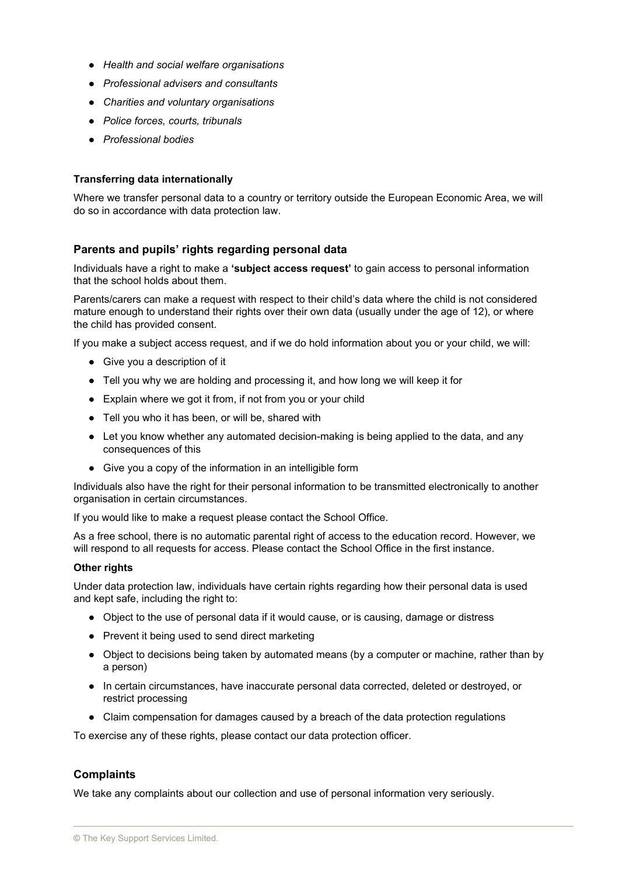- *Health and social welfare organisations*
- *Professional advisers and consultants*
- *Charities and voluntary organisations*
- *Police forces, courts, tribunals*
- *Professional bodies*

#### **Transferring data internationally**

Where we transfer personal data to a country or territory outside the European Economic Area, we will do so in accordance with data protection law.

#### **Parents and pupils' rights regarding personal data**

Individuals have a right to make a **'subject access request'** to gain access to personal information that the school holds about them.

Parents/carers can make a request with respect to their child's data where the child is not considered mature enough to understand their rights over their own data (usually under the age of 12), or where the child has provided consent.

If you make a subject access request, and if we do hold information about you or your child, we will:

- Give you a description of it
- Tell you why we are holding and processing it, and how long we will keep it for
- Explain where we got it from, if not from you or your child
- Tell you who it has been, or will be, shared with
- Let you know whether any automated decision-making is being applied to the data, and any consequences of this
- Give you a copy of the information in an intelligible form

Individuals also have the right for their personal information to be transmitted electronically to another organisation in certain circumstances.

If you would like to make a request please contact the School Office.

As a free school, there is no automatic parental right of access to the education record. However, we will respond to all requests for access. Please contact the School Office in the first instance.

#### **Other rights**

Under data protection law, individuals have certain rights regarding how their personal data is used and kept safe, including the right to:

- Object to the use of personal data if it would cause, or is causing, damage or distress
- Prevent it being used to send direct marketing
- Object to decisions being taken by automated means (by a computer or machine, rather than by a person)
- In certain circumstances, have inaccurate personal data corrected, deleted or destroyed, or restrict processing
- Claim compensation for damages caused by a breach of the data protection regulations

To exercise any of these rights, please contact our data protection officer.

#### **Complaints**

We take any complaints about our collection and use of personal information very seriously.